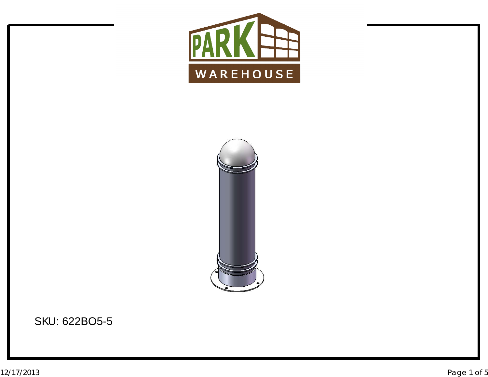



SKU: 622BO5-5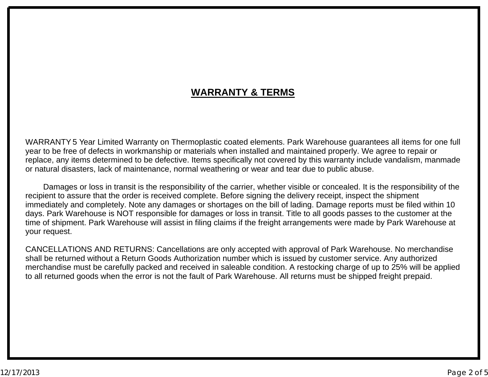## **WARRANTY & TERMS**

WARRANTY 5 Year Limited Warranty on Thermoplastic coated elements. Park Warehouse guarantees all items for one full<br>voar to be free of defects in werkmanship er materials when installed and maintained preperly. We agree to year to be free of defects in workmanship or materials when installed and maintained properly. We agree to repair or<br>replace, any itams determined to be defective, Itams aposifically not covered by this werrenty include ve replace, any items determined to be defective. Items specifically not covered by this warranty include vandalism, manmade<br>er natural disactere, lack of maintenance, narmal weathering ar wear and tear due to public abuse. or natural disasters, lack of maintenance, normal weathering or wear and tear due to public abuse.

Damages or loss in transit is the responsibility of the carrier, whether visible or concealed. It is the responsibility of the<br>ient to coaure that the erder is resolued complete. Before signing the delivery resolut, increa recipient to assure that the order is received complete. Before signing the delivery receipt, inspect the shipment<br>immodiately and completely. Note any demages ar shartages an the bill of lading. Demage reports must be fil immediately and completely. Note any damages or shortages on the bill of lading. Damage reports must be filed within 10<br>dave. Park Warehouse is NOT reponsible for damages or loss in transit. Title to all geode peases to th days. Park Warehouse is NOT responsible for damages or loss in transit. Title to all goods passes to the customer at the<br>time of shipment, Park Warehouse will assist in filing claims if the freight arrangements were made b time of shipment. Park Warehouse will assist in filing claims if the freight arrangements were made by Park Warehouse at your request.

CANCELLATIONS AND RETURNS: Cancellations are only accepted with approval of Park Warehouse. No merchandise shall be returned without <sup>a</sup> Return Goods Authorization number which is issued by customer service. Any authorized merchandise must be carefully packed and received in saleable condition. A restocking charge of up to 25% will be applied<br>to all returned goods when the error is not the fault of Park Warehouse. All returns must be shipped to all returned goods when the error is not the fault of Park Warehouse. All returns must be shipped freight prepaid.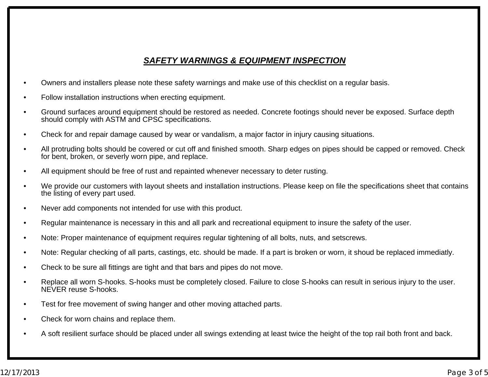## *SAFETY WARNINGS & EQUIPMENT INSPECTION*

- •Owners and installers please note these safety warnings and make use of this checklist on <sup>a</sup> regular basis.
- •Follow installation instructions when erecting equipment.
- • Ground surfaces around equipment should be restored as needed. Concrete footings should never be exposed. Surface depth should comply with ASTM and CPSC specifications.
- •Check for and repair damage caused by wear or vandalism, <sup>a</sup> major factor in injury causing situations.
- • All protruding bolts should be covered or cut off and finished smooth. Sharp edges on pipes should be capped or removed. Check for bent, broken, or severly worn pipe, and replace.
- •All equipment should be free of rust and repainted whenever necessary to deter rusting.
- • We provide our customers with layout sheets and installation instructions. Please keep on file the specifications sheet that contains the listing of every part used.
- •Never add components not intended for use with this product.
- •Regular maintenance is necessary in this and all park and recreational equipment to insure the safety of the user.
- •Note: Proper maintenance of equipment requires regular tightening of all bolts, nuts, and setscrews.
- •Note: Regular checking of all parts, castings, etc. should be made. If <sup>a</sup> part is broken or worn, it shoud be replaced immediatly.
- •Check to be sure all fittings are tight and that bars and pipes do not move.
- • Replace all worn S-hooks. S-hooks must be completely closed. Failure to close S-hooks can result in serious injury to the user. NEVER reuse S-hooks.
- •Test for free movement of swing hanger and other moving attached parts.
- •Check for worn chains and replace them.
- •A soft resilient surface should be placed under all swings extending at least twice the height of the top rail both front and back.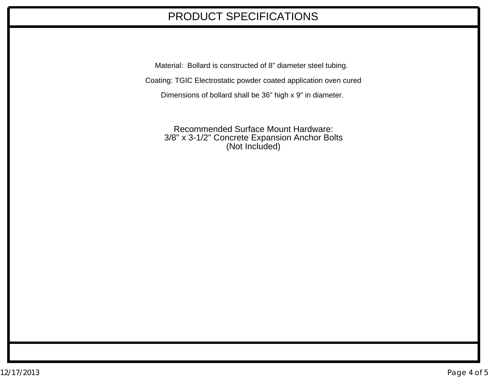## PRODUCT SPECIFICATIONS

Material: Bollard is constructed of 8" diameter steel tubing.

Coating: TGIC Electrostatic powder coated application oven cured

Dimensions of bollard shall be 36" high <sup>x</sup> 9" in diameter.

Recommended Surface Mount Hardware: 3/8" x 3-1/2" Concrete Expansion Anchor Bolts (Not Included)